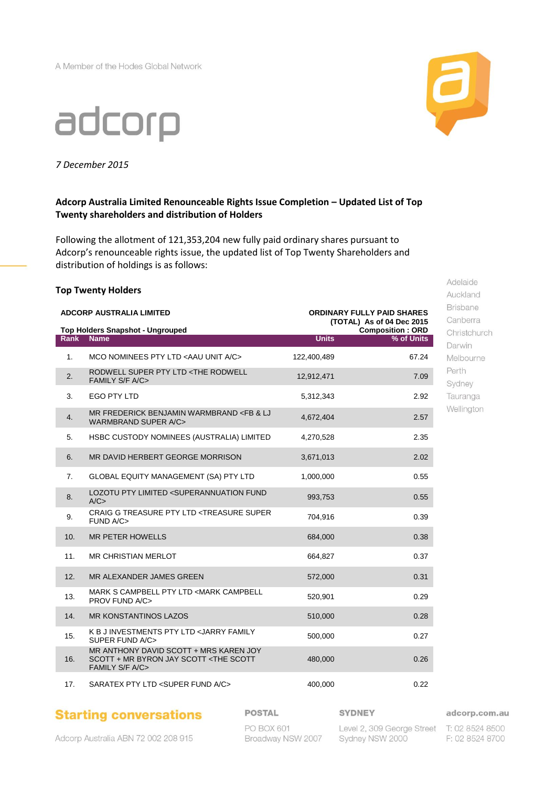A Member of the Hodes Global Network



*7 December 2015*

# **Adcorp Australia Limited Renounceable Rights Issue Completion – Updated List of Top Twenty shareholders and distribution of Holders**

Following the allotment of 121,353,204 new fully paid ordinary shares pursuant to Adcorp's renounceable rights issue, the updated list of Top Twenty Shareholders and distribution of holdings is as follows:

#### **Top Twenty Holders**

|                 | <b>ADCORP AUSTRALIA LIMITED</b><br><b>ORDINARY FULLY PAID SHARES</b><br>(TOTAL) As of 04 Dec 2015              |              |                                       |
|-----------------|----------------------------------------------------------------------------------------------------------------|--------------|---------------------------------------|
| <b>Rank</b>     | <b>Top Holders Snapshot - Ungrouped</b><br><b>Name</b>                                                         | <b>Units</b> | <b>Composition: ORD</b><br>% of Units |
| 1.              | MCO NOMINEES PTY LTD <aau a="" c="" unit=""></aau>                                                             | 122,400,489  | 67.24                                 |
| 2.              | RODWELL SUPER PTY LTD <the rodwell<br="">FAMILY S/F A/C&gt;</the>                                              | 12,912,471   | 7.09                                  |
| 3.              | <b>EGO PTY LTD</b>                                                                                             | 5,312,343    | 2.92                                  |
| 4.              | MR FREDERICK BENJAMIN WARMBRAND <fb &="" lj<br=""><b>WARMBRAND SUPER A/C&gt;</b></fb>                          | 4,672,404    | 2.57                                  |
| 5.              | HSBC CUSTODY NOMINEES (AUSTRALIA) LIMITED                                                                      | 4,270,528    | 2.35                                  |
| 6.              | MR DAVID HERBERT GEORGE MORRISON                                                                               | 3,671,013    | 2.02                                  |
| 7.              | <b>GLOBAL EQUITY MANAGEMENT (SA) PTY LTD</b>                                                                   | 1,000,000    | 0.55                                  |
| 8.              | LOZOTU PTY LIMITED <superannuation fund<br="">A/C</superannuation>                                             | 993,753      | 0.55                                  |
| 9.              | CRAIG G TREASURE PTY LTD <treasure super<br="">FUND A/C&gt;</treasure>                                         | 704,916      | 0.39                                  |
| 10 <sub>1</sub> | <b>MR PETER HOWELLS</b>                                                                                        | 684.000      | 0.38                                  |
| 11.             | <b>MR CHRISTIAN MERLOT</b>                                                                                     | 664,827      | 0.37                                  |
| 12.             | MR ALEXANDER JAMES GREEN                                                                                       | 572,000      | 0.31                                  |
| 13.             | MARK S CAMPBELL PTY LTD <mark campbell<br="">PROV FUND A/C&gt;</mark>                                          | 520,901      | 0.29                                  |
| 14.             | <b>MR KONSTANTINOS LAZOS</b>                                                                                   | 510,000      | 0.28                                  |
| 15.             | K B J INVESTMENTS PTY LTD <jarry family<br="">SUPER FUND A/C&gt;</jarry>                                       | 500,000      | 0.27                                  |
| 16.             | MR ANTHONY DAVID SCOTT + MRS KAREN JOY<br>SCOTT + MR BYRON JAY SCOTT <the scott<br="">FAMILY S/F A/C&gt;</the> | 480,000      | 0.26                                  |
| 17.             | SARATEX PTY LTD <super a="" c="" fund=""></super>                                                              | 400,000      | 0.22                                  |

Auckland **Brisbane** Canberra Christchurch Darwin Melbourne Perth Sydney Tauranga Wellington

Adelaide

Adcorp Australia ABN 72 002 208 915

**Starting conversations** 

**POSTAL** 

#### **SYDNEY**

Level 2, 309 George Street T: 02 8524 8500 Sydney NSW 2000

adcorp.com.au

F: 02 8524 8700



PO BOX 601 Broadway NSW 2007